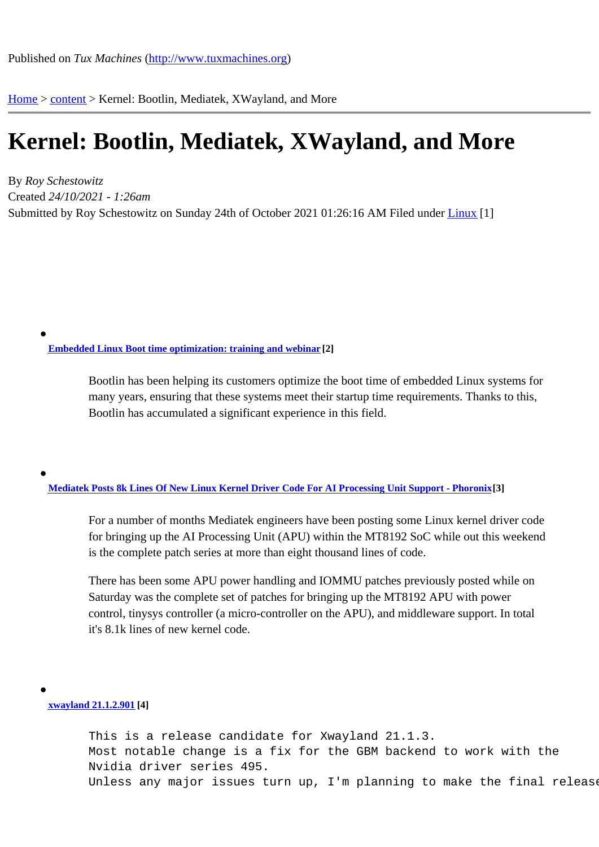Home > content > Kernel: [Bootlin, Mediatek, XWaylan](http://www.tuxmachines.org)d, and More

## [Ke](http://www.tuxmachines.org/)r[nel:](http://www.tuxmachines.org/node) Bootlin, Mediatek, XWayland, and More

By Roy Schestowitz Created 24/10/2021 - 1:26am Submitted by Roy Schestowitz on Sunday 24th of October 2021 01:26: Filed AunderLinux [1]

Embedded Linux Boot time optimization: training and webinar[2]

Bootlin has been helping its customers optimize the boot time of embedded Linux systems for [many years, ensuring that these systems m](https://bootlin.com/blog/embedded-linux-boot-time-optimization-training-and-webinar/)eet their startup time requirements. Thanks to this, Bootlin has accumulated a significant experience in this field.

Mediatek Posts 8k Lines Of New Linux Kernel Driver Code For AI Processing Unit Support - Phoroni<sup>8</sup>]

For a number of months Mediatek engineers have been posting some Linux kernel driver code [for bringing up the AI Processing Unit \(APU\) within the MT8192 SoC while o](https://www.phoronix.com/scan.php?page=news_item&px=Mediatek-MT8192-APU-Driver)ut this weekend is the complete patch series at more than eight thousand lines of code.

There has been some APU power handling and IOMMU patches previously posted while on Saturday was the complete set of patches for bringing up the MT8192 APU with power control, tinysys controller (a micro-controller on the APU), and middleware support. In total it's 8.1k lines of new kernel code.

xwayland 21.1.2.90[4]

This is a release candidate for Xwayland 21.1.3. [Most not](https://lists.x.org/archives/xorg/2021-October/060798.html)able change is a fix for the GBM backend to work with the Nvidia driver series 495. Unless any major issues turn up, I'm planning to make the final release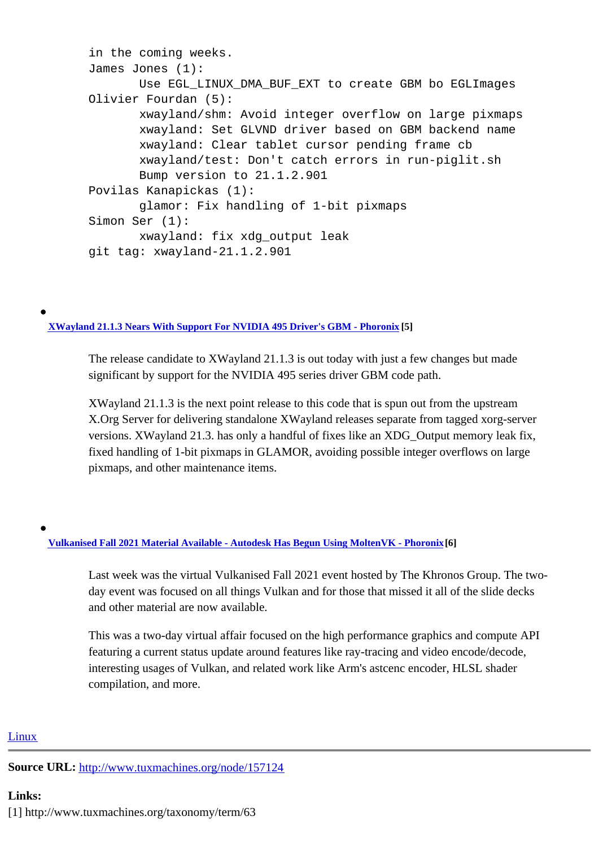in the coming weeks. James Jones (1): Use EGL\_LINUX\_DMA\_BUF\_EXT to create GBM bo EGLImages Olivier Fourdan (5): xwayland/shm: Avoid integer overflow on large pixmaps xwayland: Set GLVND driver based on GBM backend name xwayland: Clear tablet cursor pending frame cb xwayland/test: Don't catch errors in run-piglit.sh Bump version to 21.1.2.901 Povilas Kanapickas (1): glamor: Fix handling of 1-bit pixmaps Simon Ser (1): xwayland: fix xdg\_output leak git tag: xwayland-21.1.2.901

XWayland 21.1.3 Nears With Support For NVIDIA 495 Driver's GBM - Phoronix[5]

The release candidate to XWayland 21.1.3 is out today with just a few changes but made [significant by support for the NVIDIA 495 series driver GBM](https://www.phoronix.com/scan.php?page=news_item&px=XWayland-21.1.3-RC) code path.

XWayland 21.1.3 is the next point release to this code that is spun out from the upstream X.Org Server for delivering standalone XWayland releases separate from tagged xorg-server versions. XWayland 21.3. has only a handful of fixes like an XDG\_Output memory leak fix, fixed handling of 1-bit pixmaps in GLAMOR, avoiding possible integer overflows on large pixmaps, and other maintenance items.

Vulkanised Fall 2021 Material Available - Autodesk Has Begun Using MoltenVK - Phoronii6]

Last week was the virtual Vulkanised Fall 2021 event hosted by The Khronos Group. The two[day event was focused on all things Vulkan and for those that miss](https://www.phoronix.com/scan.php?page=news_item&px=Vulkanised-Fall-2021-Materials)ed it all of the slide decks and other material are now available.

This was a two-day virtual affair focused on the high performance graphics and compute API featuring a current status update around features like ray-tracing and video encode/decode, interesting usages of Vulkan, and related work like Arm's astcenc encoder, HLSL shader compilation, and more.

## **Linux**

Source URL: http://www.tuxmachines.org/node/157124

[Links:](http://www.tuxmachines.org/taxonomy/term/63) [1] http://ww[w.tuxmachines.org/taxonomy/term/63](http://www.tuxmachines.org/node/157124)